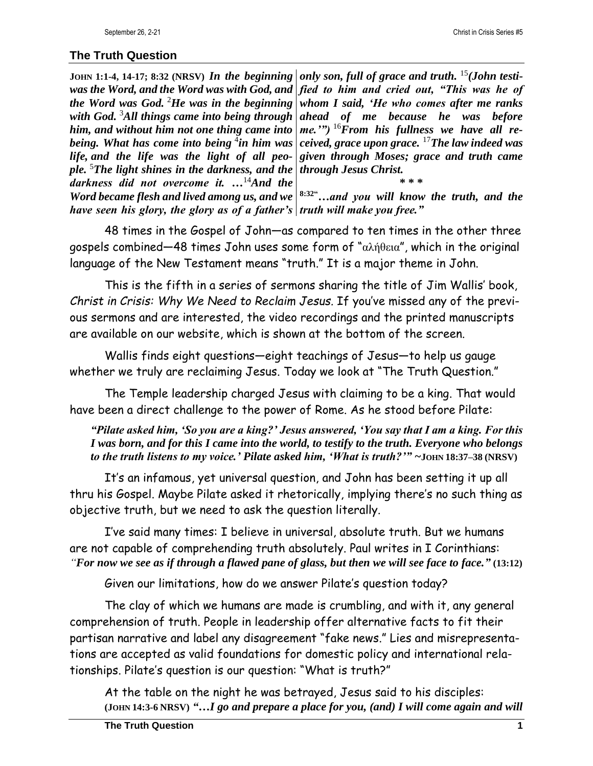## **The Truth Question**

**JOHN 1:1-4, 14-17; 8:32 (NRSV)** *In the beginning only son, full of grace and truth.* <sup>15</sup>*(John testiwas the Word, and the Word was with God, and fied to him and cried out, "This was he of the Word was God.* <sup>2</sup>*He was in the beginning with God.* <sup>3</sup>*All things came into being through him, and without him not one thing came into being. What has come into being* <sup>4</sup> *in him was life, and the life was the light of all people.* <sup>5</sup>*The light shines in the darkness, and the darkness did not overcome it. …*<sup>14</sup>*And the Word became flesh and lived among us, and we have seen his glory, the glory as of a father's truth will make you free."*

*whom I said, 'He who comes after me ranks ahead of me because he was before me.'")* <sup>16</sup>*From his fullness we have all received, grace upon grace.* <sup>17</sup>*The law indeed was given through Moses; grace and truth came through Jesus Christ.*

**\* \* \* 8:32"***…and you will know the truth, and the* 

48 times in the Gospel of John—as compared to ten times in the other three gospels combined—48 times John uses some form of "αλήθεια", which in the original language of the New Testament means "truth." It is a major theme in John.

This is the fifth in a series of sermons sharing the title of Jim Wallis' book, *Christ in Crisis: Why We Need to Reclaim Jesus.* If you've missed any of the previous sermons and are interested, the video recordings and the printed manuscripts are available on our website, which is shown at the bottom of the screen.

Wallis finds eight questions—eight teachings of Jesus—to help us gauge whether we truly are reclaiming Jesus. Today we look at "The Truth Question."

The Temple leadership charged Jesus with claiming to be a king. That would have been a direct challenge to the power of Rome. As he stood before Pilate:

*"Pilate asked him, 'So you are a king?' Jesus answered, 'You say that I am a king. For this I was born, and for this I came into the world, to testify to the truth. Everyone who belongs to the truth listens to my voice.' Pilate asked him, 'What is truth?'" ~***JOHN 18:37–38 (NRSV)**

It's an infamous, yet universal question, and John has been setting it up all thru his Gospel. Maybe Pilate asked it rhetorically, implying there's no such thing as objective truth, but we need to ask the question literally.

I've said many times: I believe in universal, absolute truth. But we humans are not capable of comprehending truth absolutely. Paul writes in I Corinthians: *"For now we see as if through a flawed pane of glass, but then we will see face to face."* **(13:12)**

Given our limitations, how do we answer Pilate's question today?

The clay of which we humans are made is crumbling, and with it, any general comprehension of truth. People in leadership offer alternative facts to fit their partisan narrative and label any disagreement "fake news." Lies and misrepresentations are accepted as valid foundations for domestic policy and international relationships. Pilate's question is our question: "What is truth?"

At the table on the night he was betrayed, Jesus said to his disciples: **(JOHN 14:3-6 NRSV)** *"…I go and prepare a place for you, (and) I will come again and will*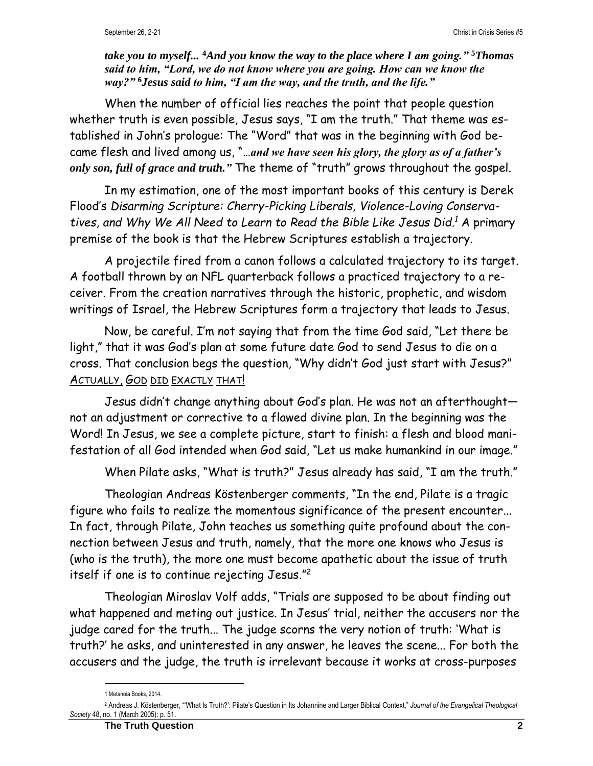*take you to myself...* **<sup>4</sup>***And you know the way to the place where I am going."* **<sup>5</sup>***Thomas said to him, "Lord, we do not know where you are going. How can we know the way?"* **<sup>6</sup>***Jesus said to him, "I am the way, and the truth, and the life."*

When the number of official lies reaches the point that people question whether truth is even possible, Jesus says, "I am the truth." That theme was established in John's prologue: The "Word" that was in the beginning with God became flesh and lived among us, "…*and we have seen his glory, the glory as of a father's only son, full of grace and truth."* The theme of "truth" grows throughout the gospel.

In my estimation, one of the most important books of this century is Derek Flood's *Disarming Scripture: Cherry-Picking Liberals, Violence-Loving Conservatives, and Why We All Need to Learn to Read the Bible Like Jesus Did. <sup>1</sup>* A primary premise of the book is that the Hebrew Scriptures establish a trajectory.

A projectile fired from a canon follows a calculated trajectory to its target. A football thrown by an NFL quarterback follows a practiced trajectory to a receiver. From the creation narratives through the historic, prophetic, and wisdom writings of Israel, the Hebrew Scriptures form a trajectory that leads to Jesus.

Now, be careful. I'm not saying that from the time God said, "Let there be light," that it was God's plan at some future date God to send Jesus to die on a cross. That conclusion begs the question, "Why didn't God just start with Jesus?" ACTUALLY, GOD DID EXACTLY THAT!

Jesus didn't change anything about God's plan. He was not an afterthought not an adjustment or corrective to a flawed divine plan. In the beginning was the Word! In Jesus, we see a complete picture, start to finish: a flesh and blood manifestation of all God intended when God said, "Let us make humankind in our image."

When Pilate asks, "What is truth?" Jesus already has said, "I am the truth."

Theologian Andreas Köstenberger comments, "In the end, Pilate is a tragic figure who fails to realize the momentous significance of the present encounter... In fact, through Pilate, John teaches us something quite profound about the connection between Jesus and truth, namely, that the more one knows who Jesus is (who is the truth), the more one must become apathetic about the issue of truth itself if one is to continue rejecting Jesus."<sup>2</sup>

Theologian Miroslav Volf adds, "Trials are supposed to be about finding out what happened and meting out justice. In Jesus' trial, neither the accusers nor the judge cared for the truth... The judge scorns the very notion of truth: 'What is truth?' he asks, and uninterested in any answer, he leaves the scene... For both the accusers and the judge, the truth is irrelevant because it works at cross-purposes

<sup>1</sup> Metanoia Books, 2014.

<sup>2</sup> Andreas J. Köstenberger, "'What Is Truth?': Pilate's Question in Its Johannine and Larger Biblical Context," *Journal of the Evangelical Theological Society* 48, no. 1 (March 2005): p. 51.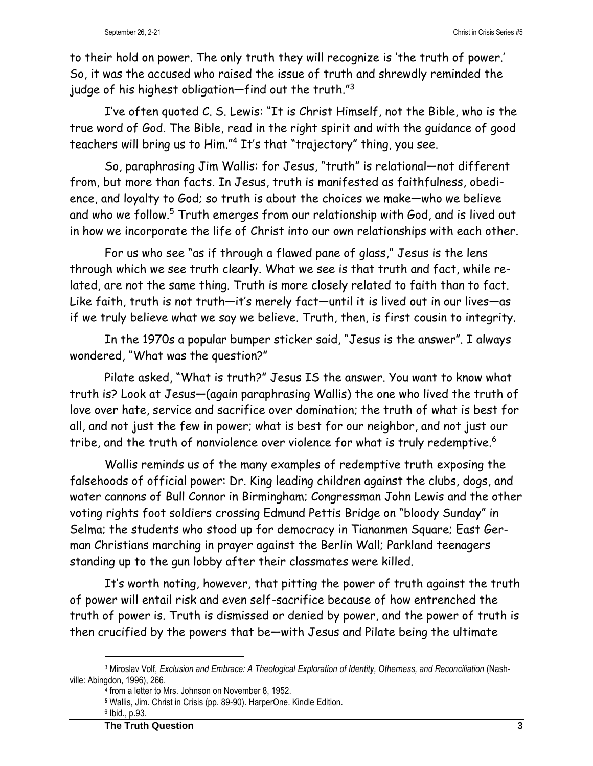to their hold on power. The only truth they will recognize is 'the truth of power.' So, it was the accused who raised the issue of truth and shrewdly reminded the judge of his highest obligation—find out the truth." $^{\rm 3}$ 

I've often quoted C. S. Lewis: "It is Christ Himself, not the Bible, who is the true word of God. The Bible, read in the right spirit and with the guidance of good teachers will bring us to Him." <sup>4</sup> It's that "trajectory" thing, you see.

So, paraphrasing Jim Wallis: for Jesus, "truth" is relational—not different from, but more than facts. In Jesus, truth is manifested as faithfulness, obedience, and loyalty to God; so truth is about the choices we make—who we believe and who we follow.<sup>5</sup> Truth emerges from our relationship with God, and is lived out in how we incorporate the life of Christ into our own relationships with each other.

For us who see "as if through a flawed pane of glass," Jesus is the lens through which we see truth clearly. What we see is that truth and fact, while related, are not the same thing. Truth is more closely related to faith than to fact. Like faith, truth is not truth—it's merely fact—until it is lived out in our lives—as if we truly believe what we say we believe. Truth, then, is first cousin to integrity.

In the 1970s a popular bumper sticker said, "Jesus is the answer". I always wondered, "What was the question?"

Pilate asked, "What is truth?" Jesus IS the answer. You want to know what truth is? Look at Jesus—(again paraphrasing Wallis) the one who lived the truth of love over hate, service and sacrifice over domination; the truth of what is best for all, and not just the few in power; what is best for our neighbor, and not just our tribe, and the truth of nonviolence over violence for what is truly redemptive.<sup>6</sup>

Wallis reminds us of the many examples of redemptive truth exposing the falsehoods of official power: Dr. King leading children against the clubs, dogs, and water cannons of Bull Connor in Birmingham; Congressman John Lewis and the other voting rights foot soldiers crossing Edmund Pettis Bridge on "bloody Sunday" in Selma; the students who stood up for democracy in Tiananmen Square; East German Christians marching in prayer against the Berlin Wall; Parkland teenagers standing up to the gun lobby after their classmates were killed.

It's worth noting, however, that pitting the power of truth against the truth of power will entail risk and even self-sacrifice because of how entrenched the truth of power is. Truth is dismissed or denied by power, and the power of truth is then crucified by the powers that be—with Jesus and Pilate being the ultimate

<sup>3</sup> Miroslav Volf, *Exclusion and Embrace: A Theological Exploration of Identity, Otherness, and Reconciliation* (Nashville: Abingdon, 1996), 266.

*<sup>4</sup>* from a letter to Mrs. Johnson on November 8, 1952.

**<sup>5</sup>** Wallis, Jim. Christ in Crisis (pp. 89-90). HarperOne. Kindle Edition.

<sup>6</sup> Ibid., p.93.